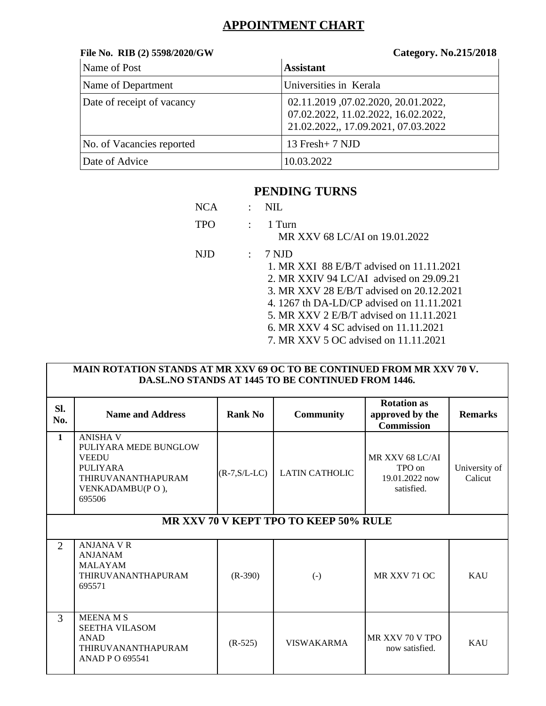# **APPOINTMENT CHART**

#### **File No. RIB (2) 5598/2020/GW Category. No.215/2018**

| Name of Post               | <b>Assistant</b>                                                                                                 |
|----------------------------|------------------------------------------------------------------------------------------------------------------|
| Name of Department         | Universities in Kerala                                                                                           |
| Date of receipt of vacancy | 02.11.2019, 07.02.2020, 20.01.2022,<br>07.02.2022, 11.02.2022, 16.02.2022,<br>21.02.2022, 17.09.2021, 07.03.2022 |
| No. of Vacancies reported  | 13 Fresh+ 7 NJD                                                                                                  |
| Date of Advice             | 10.03.2022                                                                                                       |

### **PENDING TURNS**

| <b>NCA</b> | NH.                                                                                                                                                                                                                                                                         |
|------------|-----------------------------------------------------------------------------------------------------------------------------------------------------------------------------------------------------------------------------------------------------------------------------|
| TPO        | 1 Turn<br>MR XXV 68 LC/AI on 19.01.2022                                                                                                                                                                                                                                     |
| NJD        | 7 N.ID<br>1. MR XXI 88 E/B/T advised on 11.11.2021<br>2. MR XXIV 94 LC/AI advised on $29.09.21$<br>3. MR XXV 28 E/B/T advised on 20.12.2021<br>4. 1267 th DA-LD/CP advised on 11.11.2021<br>5. MR XXV 2 E/B/T advised on 11.11.2021<br>6. MR XXV 4 SC advised on 11.11.2021 |
|            | 7. MR XXV 5 OC advised on 11.11.2021                                                                                                                                                                                                                                        |

#### **MAIN ROTATION STANDS AT MR XXV 69 OC TO BE CONTINUED FROM MR XXV 70 V. DA.SL.NO STANDS AT 1445 TO BE CONTINUED FROM 1446.**

| SI.<br>No.     | <b>Name and Address</b>                                                                                                        | <b>Rank No</b>      | <b>Community</b>      | <b>Rotation as</b><br>approved by the<br><b>Commission</b> | <b>Remarks</b>           |  |  |
|----------------|--------------------------------------------------------------------------------------------------------------------------------|---------------------|-----------------------|------------------------------------------------------------|--------------------------|--|--|
| $\mathbf{1}$   | <b>ANISHA V</b><br>PULIYARA MEDE BUNGLOW<br><b>VEEDU</b><br>PULIYARA<br><b>THIRUVANANTHAPURAM</b><br>VENKADAMBU(PO),<br>695506 | $(R$ -7, S/L-LC $)$ | <b>LATIN CATHOLIC</b> | MR XXV 68 LC/AI<br>TPO on<br>19.01.2022 now<br>satisfied.  | University of<br>Calicut |  |  |
|                | MR XXV 70 V KEPT TPO TO KEEP 50% RULE                                                                                          |                     |                       |                                                            |                          |  |  |
| $\overline{2}$ | <b>ANJANA VR</b><br><b>ANJANAM</b><br><b>MALAYAM</b><br><b>THIRUVANANTHAPURAM</b><br>695571                                    | $(R-390)$           | $(\cdot)$             | MR XXV 71 OC                                               | <b>KAU</b>               |  |  |
| 3              | <b>MEENA MS</b><br><b>SEETHA VILASOM</b><br>ANAD<br><b>THIRUVANANTHAPURAM</b><br>ANAD P O 695541                               | $(R-525)$           | <b>VISWAKARMA</b>     | MR XXV 70 V TPO<br>now satisfied.                          | <b>KAU</b>               |  |  |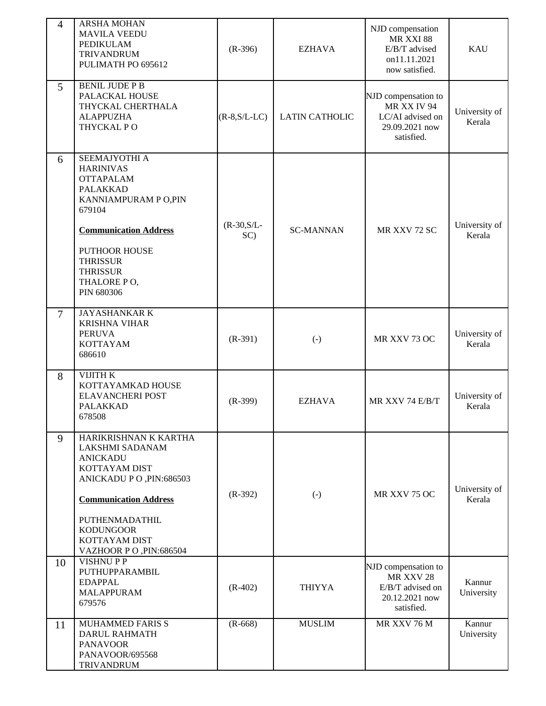| $\overline{4}$ | <b>ARSHA MOHAN</b><br><b>MAVILA VEEDU</b><br><b>PEDIKULAM</b><br><b>TRIVANDRUM</b><br>PULIMATH PO 695612                                                                                                                               | $(R-396)$               | <b>EZHAVA</b>         | NJD compensation<br>MR XXI 88<br>E/B/T advised<br>on11.11.2021<br>now satisfied.       | <b>KAU</b>              |
|----------------|----------------------------------------------------------------------------------------------------------------------------------------------------------------------------------------------------------------------------------------|-------------------------|-----------------------|----------------------------------------------------------------------------------------|-------------------------|
| 5              | <b>BENIL JUDE P B</b><br>PALACKAL HOUSE<br>THYCKAL CHERTHALA<br><b>ALAPPUZHA</b><br>THYCKAL PO                                                                                                                                         | $(R-8, S/L-LC)$         | <b>LATIN CATHOLIC</b> | NJD compensation to<br>MR XX IV 94<br>LC/AI advised on<br>29.09.2021 now<br>satisfied. | University of<br>Kerala |
| 6              | SEEMAJYOTHI A<br><b>HARINIVAS</b><br><b>OTTAPALAM</b><br><b>PALAKKAD</b><br>KANNIAMPURAM P O, PIN<br>679104<br><b>Communication Address</b><br><b>PUTHOOR HOUSE</b><br><b>THRISSUR</b><br><b>THRISSUR</b><br>THALORE PO,<br>PIN 680306 | $(R - 30, S/L -$<br>SC) | <b>SC-MANNAN</b>      | MR XXV 72 SC                                                                           | University of<br>Kerala |
| $\overline{7}$ | JAYASHANKAR K<br><b>KRISHNA VIHAR</b><br><b>PERUVA</b><br><b>KOTTAYAM</b><br>686610                                                                                                                                                    | $(R-391)$               | $(\cdot)$             | MR XXV 73 OC                                                                           | University of<br>Kerala |
| 8              | VIJITH K<br>KOTTAYAMKAD HOUSE<br>ELAVANCHERI POST<br><b>PALAKKAD</b><br>678508                                                                                                                                                         | $(R-399)$               | <b>EZHAVA</b>         | MR XXV 74 E/B/T                                                                        | University of<br>Kerala |
| 9              | HARIKRISHNAN K KARTHA<br>LAKSHMI SADANAM<br><b>ANICKADU</b><br>KOTTAYAM DIST<br>ANICKADU PO, PIN:686503<br><b>Communication Address</b><br>PUTHENMADATHIL<br><b>KODUNGOOR</b><br>KOTTAYAM DIST<br>VAZHOOR PO, PIN:686504               | $(R-392)$               | $(\cdot)$             | MR XXV 75 OC                                                                           | University of<br>Kerala |
| 10             | <b>VISHNUPP</b><br>PUTHUPPARAMBIL<br><b>EDAPPAL</b><br>MALAPPURAM<br>679576                                                                                                                                                            | $(R-402)$               | THIYYA                | NJD compensation to<br>MR XXV 28<br>E/B/T advised on<br>20.12.2021 now<br>satisfied.   | Kannur<br>University    |
| 11             | <b>MUHAMMED FARIS S</b><br><b>DARUL RAHMATH</b><br><b>PANAVOOR</b><br>PANAVOOR/695568<br><b>TRIVANDRUM</b>                                                                                                                             | $(R-668)$               | <b>MUSLIM</b>         | MR XXV 76 M                                                                            | Kannur<br>University    |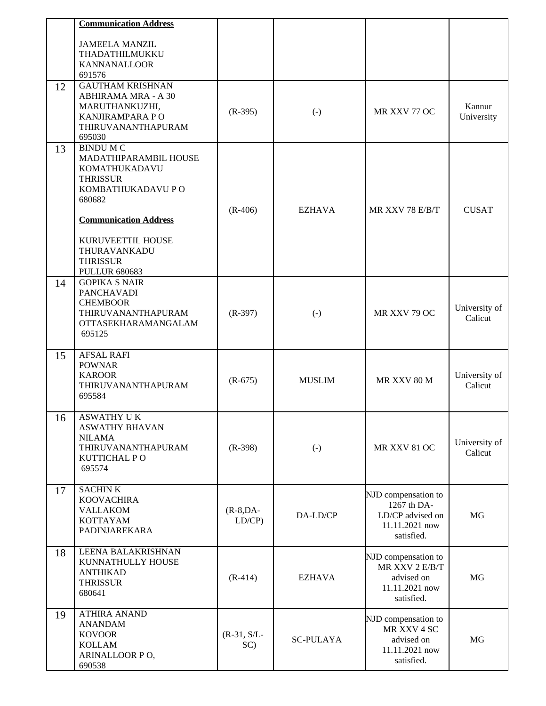|    | <b>Communication Address</b>                 |                      |                  |                                       |                          |
|----|----------------------------------------------|----------------------|------------------|---------------------------------------|--------------------------|
|    | <b>JAMEELA MANZIL</b>                        |                      |                  |                                       |                          |
|    | THADATHILMUKKU                               |                      |                  |                                       |                          |
|    | <b>KANNANALLOOR</b><br>691576                |                      |                  |                                       |                          |
| 12 | <b>GAUTHAM KRISHNAN</b>                      |                      |                  |                                       |                          |
|    | ABHIRAMA MRA - A 30<br>MARUTHANKUZHI,        |                      |                  |                                       | Kannur                   |
|    | KANJIRAMPARA PO                              | $(R-395)$            | $(\cdot)$        | MR XXV 77 OC                          | University               |
|    | THIRUVANANTHAPURAM                           |                      |                  |                                       |                          |
| 13 | 695030<br><b>BINDU M C</b>                   |                      |                  |                                       |                          |
|    | MADATHIPARAMBIL HOUSE                        |                      |                  |                                       |                          |
|    | KOMATHUKADAVU<br><b>THRISSUR</b>             |                      |                  |                                       |                          |
|    | KOMBATHUKADAVU P O                           |                      |                  |                                       |                          |
|    | 680682                                       |                      |                  |                                       |                          |
|    | <b>Communication Address</b>                 | $(R-406)$            | <b>EZHAVA</b>    | MR XXV 78 E/B/T                       | <b>CUSAT</b>             |
|    |                                              |                      |                  |                                       |                          |
|    | KURUVEETTIL HOUSE<br>THURAVANKADU            |                      |                  |                                       |                          |
|    | <b>THRISSUR</b>                              |                      |                  |                                       |                          |
| 14 | <b>PULLUR 680683</b><br><b>GOPIKA S NAIR</b> |                      |                  |                                       |                          |
|    | PANCHAVADI                                   |                      |                  |                                       |                          |
|    | <b>CHEMBOOR</b>                              |                      |                  |                                       | University of            |
|    | THIRUVANANTHAPURAM<br>OTTASEKHARAMANGALAM    | $(R-397)$            | $(\cdot)$        | MR XXV 79 OC                          | Calicut                  |
|    | 695125                                       |                      |                  |                                       |                          |
| 15 | <b>AFSAL RAFI</b>                            |                      |                  |                                       |                          |
|    | <b>POWNAR</b>                                |                      |                  |                                       |                          |
|    | <b>KAROOR</b><br>THIRUVANANTHAPURAM          | $(R-675)$            | <b>MUSLIM</b>    | MR XXV 80 M                           | University of<br>Calicut |
|    | 695584                                       |                      |                  |                                       |                          |
| 16 | ASWATHY U K                                  |                      |                  |                                       |                          |
|    | <b>ASWATHY BHAVAN</b>                        |                      |                  |                                       |                          |
|    | <b>NILAMA</b><br>THIRUVANANTHAPURAM          | $(R-398)$            | $(\cdot)$        | MR XXV 81 OC                          | University of            |
|    | KUTTICHAL PO                                 |                      |                  |                                       | Calicut                  |
|    | 695574                                       |                      |                  |                                       |                          |
| 17 | <b>SACHINK</b>                               |                      |                  |                                       |                          |
|    | <b>KOOVACHIRA</b><br><b>VALLAKOM</b>         |                      |                  | NJD compensation to<br>1267 th DA-    |                          |
|    | <b>KOTTAYAM</b>                              | $(R-8, DA-$<br>LD/CP | DA-LD/CP         | LD/CP advised on                      | MG                       |
|    | PADINJAREKARA                                |                      |                  | 11.11.2021 now<br>satisfied.          |                          |
| 18 | LEENA BALAKRISHNAN                           |                      |                  |                                       |                          |
|    | KUNNATHULLY HOUSE                            |                      |                  | NJD compensation to<br>MR XXV 2 E/B/T |                          |
|    | <b>ANTHIKAD</b><br><b>THRISSUR</b>           | $(R-414)$            | <b>EZHAVA</b>    | advised on                            | MG                       |
|    | 680641                                       |                      |                  | 11.11.2021 now<br>satisfied.          |                          |
| 19 | <b>ATHIRA ANAND</b>                          |                      |                  |                                       |                          |
|    | <b>ANANDAM</b>                               |                      |                  | NJD compensation to<br>MR XXV 4 SC    |                          |
|    | <b>KOVOOR</b><br><b>KOLLAM</b>               | $(R-31, S/L-$<br>SC) | <b>SC-PULAYA</b> | advised on                            | MG                       |
|    | ARINALLOOR PO,                               |                      |                  | 11.11.2021 now<br>satisfied.          |                          |
|    | 690538                                       |                      |                  |                                       |                          |